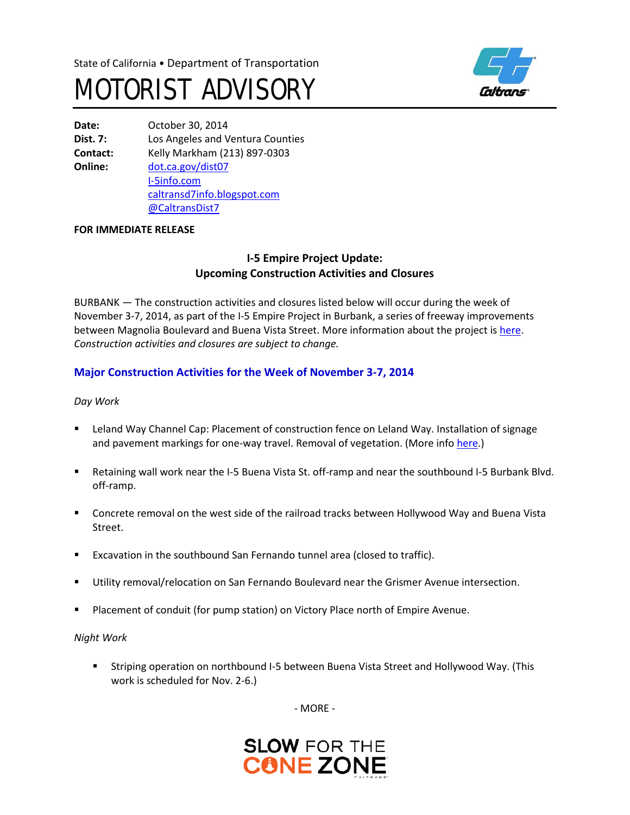



**Date:** October 30, 2014 **Dist. 7:** Los Angeles and Ventura Counties **Contact:** Kelly Markham (213) 897-0303 **Online:** [dot.ca.gov/dist07](http://www.dot.ca.gov/dist07) [I-5info.com](http://www.i-5info.com/) [caltransd7info.blogspot.com](http://caltransd7info.blogspot.com/) @CaltransDist7

### **FOR IMMEDIATE RELEASE**

# **I-5 Empire Project Update: Upcoming Construction Activities and Closures**

BURBANK — The construction activities and closures listed below will occur during the week of November 3-7, 2014, as part of the I-5 Empire Project in Burbank, a series of freeway improvements between Magnolia Boulevard and Buena Vista Street. More information about the project i[s here.](http://i-5info.com/magnolia-boulevard-to-buena-vista-street/) *Construction activities and closures are subject to change.*

# **Major Construction Activities for the Week of November 3-7, 2014**

*Day Work* 

- **EXECT ADDET LETAN** User Clarannel Cap: Placement of construction fence on Leland Way. Installation of signage and pavement markings for one-way travel. Removal of vegetation. (More info [here.](http://i-5info.com/2014/10/28/leland-way-channel-cap-update-installation-of-construction-fence/))
- Retaining wall work near the I-5 Buena Vista St. off-ramp and near the southbound I-5 Burbank Blvd. off-ramp.
- Concrete removal on the west side of the railroad tracks between Hollywood Way and Buena Vista Street.
- **Excavation in the southbound San Fernando tunnel area (closed to traffic).**
- Utility removal/relocation on San Fernando Boulevard near the Grismer Avenue intersection.
- **Placement of conduit (for pump station) on Victory Place north of Empire Avenue.**

*Night Work*

 Striping operation on northbound I-5 between Buena Vista Street and Hollywood Way. (This work is scheduled for Nov. 2-6.)

- MORE -